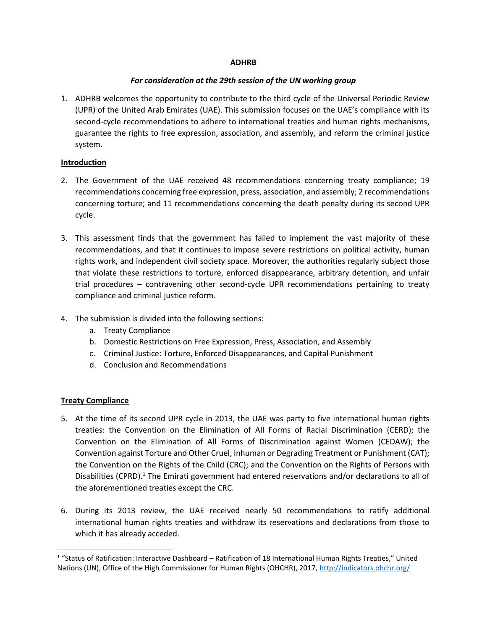### **ADHRB**

#### *For consideration at the 29th session of the UN working group*

1. ADHRB welcomes the opportunity to contribute to the third cycle of the Universal Periodic Review (UPR) of the United Arab Emirates (UAE). This submission focuses on the UAE's compliance with its second-cycle recommendations to adhere to international treaties and human rights mechanisms, guarantee the rights to free expression, association, and assembly, and reform the criminal justice system.

### **Introduction**

- 2. The Government of the UAE received 48 recommendations concerning treaty compliance; 19 recommendations concerning free expression, press, association, and assembly; 2 recommendations concerning torture; and 11 recommendations concerning the death penalty during its second UPR cycle.
- 3. This assessment finds that the government has failed to implement the vast majority of these recommendations, and that it continues to impose severe restrictions on political activity, human rights work, and independent civil society space. Moreover, the authorities regularly subject those that violate these restrictions to torture, enforced disappearance, arbitrary detention, and unfair trial procedures – contravening other second-cycle UPR recommendations pertaining to treaty compliance and criminal justice reform.
- 4. The submission is divided into the following sections:
	- a. Treaty Compliance
	- b. Domestic Restrictions on Free Expression, Press, Association, and Assembly
	- c. Criminal Justice: Torture, Enforced Disappearances, and Capital Punishment
	- d. Conclusion and Recommendations

### **Treaty Compliance**

 $\overline{\phantom{a}}$ 

- 5. At the time of its second UPR cycle in 2013, the UAE was party to five international human rights treaties: the Convention on the Elimination of All Forms of Racial Discrimination (CERD); the Convention on the Elimination of All Forms of Discrimination against Women (CEDAW); the Convention against Torture and Other Cruel, Inhuman or Degrading Treatment or Punishment (CAT); the Convention on the Rights of the Child (CRC); and the Convention on the Rights of Persons with Disabilities (CPRD).<sup>1</sup> The Emirati government had entered reservations and/or declarations to all of the aforementioned treaties except the CRC.
- 6. During its 2013 review, the UAE received nearly 50 recommendations to ratify additional international human rights treaties and withdraw its reservations and declarations from those to which it has already acceded.

<sup>&</sup>lt;sup>1</sup> "Status of Ratification: Interactive Dashboard – Ratification of 18 International Human Rights Treaties," United Nations (UN), Office of the High Commissioner for Human Rights (OHCHR), 2017,<http://indicators.ohchr.org/>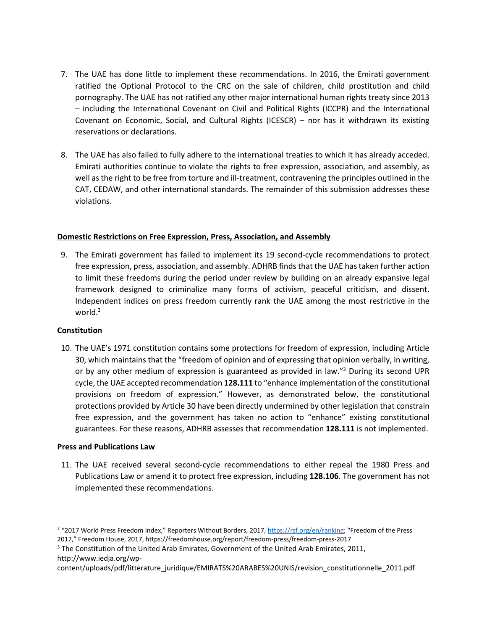- 7. The UAE has done little to implement these recommendations. In 2016, the Emirati government ratified the Optional Protocol to the CRC on the sale of children, child prostitution and child pornography. The UAE has not ratified any other major international human rights treaty since 2013 – including the International Covenant on Civil and Political Rights (ICCPR) and the International Covenant on Economic, Social, and Cultural Rights (ICESCR) – nor has it withdrawn its existing reservations or declarations.
- 8. The UAE has also failed to fully adhere to the international treaties to which it has already acceded. Emirati authorities continue to violate the rights to free expression, association, and assembly, as well as the right to be free from torture and ill-treatment, contravening the principles outlined in the CAT, CEDAW, and other international standards. The remainder of this submission addresses these violations.

### **Domestic Restrictions on Free Expression, Press, Association, and Assembly**

9. The Emirati government has failed to implement its 19 second-cycle recommendations to protect free expression, press, association, and assembly. ADHRB finds that the UAE has taken further action to limit these freedoms during the period under review by building on an already expansive legal framework designed to criminalize many forms of activism, peaceful criticism, and dissent. Independent indices on press freedom currently rank the UAE among the most restrictive in the world. $2$ 

### **Constitution**

l

10. The UAE's 1971 constitution contains some protections for freedom of expression, including Article 30, which maintains that the "freedom of opinion and of expressing that opinion verbally, in writing, or by any other medium of expression is guaranteed as provided in law."<sup>3</sup> During its second UPR cycle, the UAE accepted recommendation **128.111** to "enhance implementation of the constitutional provisions on freedom of expression." However, as demonstrated below, the constitutional protections provided by Article 30 have been directly undermined by other legislation that constrain free expression, and the government has taken no action to "enhance" existing constitutional guarantees. For these reasons, ADHRB assesses that recommendation **128.111** is not implemented.

#### **Press and Publications Law**

11. The UAE received several second-cycle recommendations to either repeal the 1980 Press and Publications Law or amend it to protect free expression, including **128.106**. The government has not implemented these recommendations.

<sup>&</sup>lt;sup>2</sup> "2017 World Press Freedom Index," Reporters Without Borders, 2017, <https://rsf.org/en/ranking>; "Freedom of the Press 2017," Freedom House, 2017, https://freedomhouse.org/report/freedom-press/freedom-press-2017

<sup>&</sup>lt;sup>3</sup> The Constitution of the United Arab Emirates, Government of the United Arab Emirates, 2011, http://www.iedja.org/wp-

content/uploads/pdf/litterature\_juridique/EMIRATS%20ARABES%20UNIS/revision\_constitutionnelle\_2011.pdf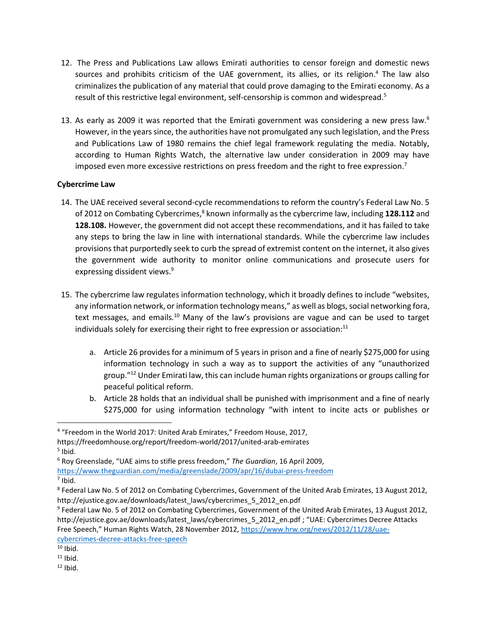- 12. The Press and Publications Law allows Emirati authorities to censor foreign and domestic news sources and prohibits criticism of the UAE government, its allies, or its religion.<sup>4</sup> The law also criminalizes the publication of any material that could prove damaging to the Emirati economy. As a result of this restrictive legal environment, self-censorship is common and widespread.<sup>5</sup>
- 13. As early as 2009 it was reported that the Emirati government was considering a new press law.<sup>6</sup> However, in the years since, the authorities have not promulgated any such legislation, and the Press and Publications Law of 1980 remains the chief legal framework regulating the media. Notably, according to Human Rights Watch, the alternative law under consideration in 2009 may have imposed even more excessive restrictions on press freedom and the right to free expression.<sup>7</sup>

## **Cybercrime Law**

- 14. The UAE received several second-cycle recommendations to reform the country's Federal Law No. 5 of 2012 on Combating Cybercrimes,<sup>8</sup> known informally as the cybercrime law, including 128.112 and **128.108.** However, the government did not accept these recommendations, and it has failed to take any steps to bring the law in line with international standards. While the cybercrime law includes provisions that purportedly seek to curb the spread of extremist content on the internet, it also gives the government wide authority to monitor online communications and prosecute users for expressing dissident views. 9
- 15. The cybercrime law regulates information technology, which it broadly defines to include "websites, any information network, or information technology means," as well as blogs, social networking fora, text messages, and emails.<sup>10</sup> Many of the law's provisions are vague and can be used to target individuals solely for exercising their right to free expression or association: $^{11}$ 
	- a. Article 26 provides for a minimum of 5 years in prison and a fine of nearly \$275,000 for using information technology in such a way as to support the activities of any "unauthorized group."<sup>12</sup> Under Emirati law, this can include human rights organizations or groups calling for peaceful political reform.
	- b. Article 28 holds that an individual shall be punished with imprisonment and a fine of nearly \$275,000 for using information technology "with intent to incite acts or publishes or

5 Ibid.

 $\overline{a}$ 

7 Ibid.

[cybercrimes-decree-attacks-free-speech](https://www.hrw.org/news/2012/11/28/uae-cybercrimes-decree-attacks-free-speech)

<sup>&</sup>lt;sup>4</sup> "Freedom in the World 2017: United Arab Emirates," Freedom House, 2017,

https://freedomhouse.org/report/freedom-world/2017/united-arab-emirates

<sup>6</sup> Roy Greenslade, "UAE aims to stifle press freedom," *The Guardian*, 16 April 2009,

<https://www.theguardian.com/media/greenslade/2009/apr/16/dubai-press-freedom>

<sup>8</sup> Federal Law No. 5 of 2012 on Combating Cybercrimes, Government of the United Arab Emirates, 13 August 2012, http://ejustice.gov.ae/downloads/latest\_laws/cybercrimes\_5\_2012\_en.pdf

<sup>9</sup> Federal Law No. 5 of 2012 on Combating Cybercrimes, Government of the United Arab Emirates, 13 August 2012, http://ejustice.gov.ae/downloads/latest\_laws/cybercrimes\_5\_2012\_en.pdf ; "UAE: Cybercrimes Decree Attacks Free Speech," Human Rights Watch, 28 November 2012, [https://www.hrw.org/news/2012/11/28/uae-](https://www.hrw.org/news/2012/11/28/uae-cybercrimes-decree-attacks-free-speech)

 $10$  Ibid.

 $11$  Ibid.

 $12$  Ibid.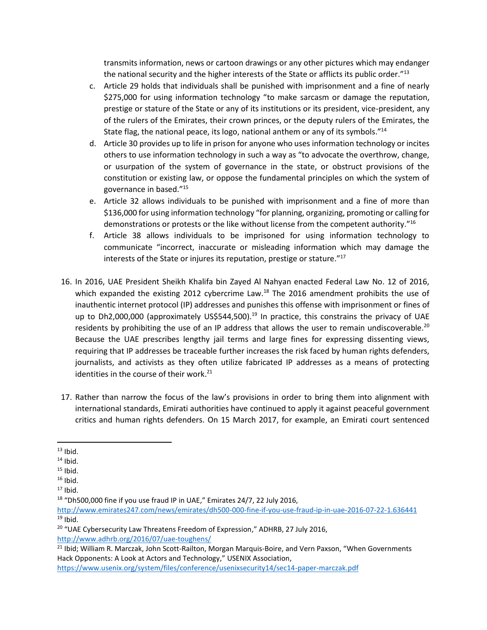transmits information, news or cartoon drawings or any other pictures which may endanger the national security and the higher interests of the State or afflicts its public order.<sup>"13</sup>

- c. Article 29 holds that individuals shall be punished with imprisonment and a fine of nearly \$275,000 for using information technology "to make sarcasm or damage the reputation, prestige or stature of the State or any of its institutions or its president, vice-president, any of the rulers of the Emirates, their crown princes, or the deputy rulers of the Emirates, the State flag, the national peace, its logo, national anthem or any of its symbols."<sup>14</sup>
- d. Article 30 provides up to life in prison for anyone who uses information technology or incites others to use information technology in such a way as "to advocate the overthrow, change, or usurpation of the system of governance in the state, or obstruct provisions of the constitution or existing law, or oppose the fundamental principles on which the system of governance in based."<sup>15</sup>
- e. Article 32 allows individuals to be punished with imprisonment and a fine of more than \$136,000 for using information technology "for planning, organizing, promoting or calling for demonstrations or protests or the like without license from the competent authority."<sup>16</sup>
- f. Article 38 allows individuals to be imprisoned for using information technology to communicate "incorrect, inaccurate or misleading information which may damage the interests of the State or injures its reputation, prestige or stature."<sup>17</sup>
- 16. In 2016, UAE President Sheikh Khalifa bin Zayed Al Nahyan enacted Federal Law No. 12 of 2016, which expanded the existing 2012 cybercrime Law.<sup>18</sup> The 2016 amendment prohibits the use of inauthentic internet protocol (IP) addresses and punishes this offense with imprisonment or fines of up to Dh2,000,000 (approximately US\$544,500).<sup>19</sup> In practice, this constrains the privacy of UAE residents by prohibiting the use of an IP address that allows the user to remain undiscoverable.<sup>20</sup> Because the UAE prescribes lengthy jail terms and large fines for expressing dissenting views, requiring that IP addresses be traceable further increases the risk faced by human rights defenders, journalists, and activists as they often utilize fabricated IP addresses as a means of protecting identities in the course of their work. 21
- 17. Rather than narrow the focus of the law's provisions in order to bring them into alignment with international standards, Emirati authorities have continued to apply it against peaceful government critics and human rights defenders. On 15 March 2017, for example, an Emirati court sentenced

 $\overline{\phantom{a}}$ 

<sup>18</sup> "Dh500,000 fine if you use fraud IP in UAE," Emirates 24/7, 22 July 2016,

<http://www.emirates247.com/news/emirates/dh500-000-fine-if-you-use-fraud-ip-in-uae-2016-07-22-1.636441>  $19$  Ibid.

<sup>20</sup> "UAE Cybersecurity Law Threatens Freedom of Expression," ADHRB, 27 July 2016, <http://www.adhrb.org/2016/07/uae-toughens/>

 $13$  Ibid.

 $14$  Ibid.

 $15$  Ibid.

 $16$  Ibid.

 $17$  Ibid.

<sup>&</sup>lt;sup>21</sup> Ibid; William R. Marczak, John Scott-Railton, Morgan Marquis-Boire, and Vern Paxson, "When Governments Hack Opponents: A Look at Actors and Technology," USENIX Association,

<https://www.usenix.org/system/files/conference/usenixsecurity14/sec14-paper-marczak.pdf>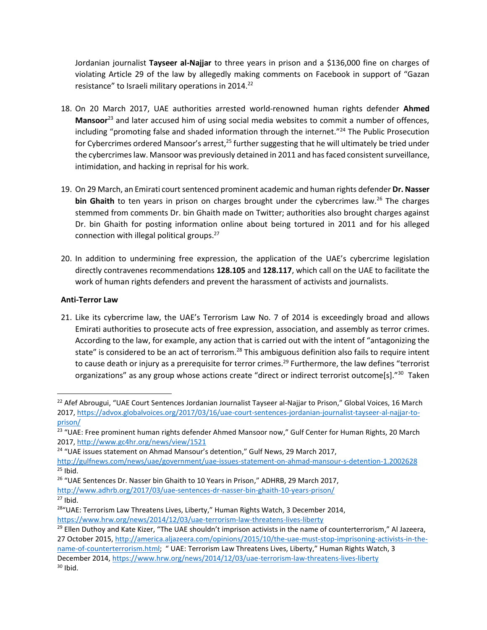Jordanian journalist **Tayseer al-Najjar** to three years in prison and a \$136,000 fine on charges of violating Article 29 of the law by allegedly making comments on Facebook in support of "Gazan resistance" to Israeli military operations in 2014.<sup>22</sup>

- 18. On 20 March 2017, UAE authorities arrested world-renowned human rights defender **Ahmed Mansoor**<sup>23</sup> and later accused him of using social media websites to commit a number of offences, including "promoting false and shaded information through the internet."<sup>24</sup> The Public Prosecution for Cybercrimes ordered Mansoor's arrest, $25$  further suggesting that he will ultimately be tried under the cybercrimes law. Mansoor was previously detained in 2011 and has faced consistent surveillance, intimidation, and hacking in reprisal for his work.
- 19. On 29 March, an Emirati court sentenced prominent academic and human rights defender **Dr. Nasser bin Ghaith** to ten years in prison on charges brought under the cybercrimes law.<sup>26</sup> The charges stemmed from comments Dr. bin Ghaith made on Twitter; authorities also brought charges against Dr. bin Ghaith for posting information online about being tortured in 2011 and for his alleged connection with illegal political groups. 27
- 20. In addition to undermining free expression, the application of the UAE's cybercrime legislation directly contravenes recommendations **128.105** and **128.117**, which call on the UAE to facilitate the work of human rights defenders and prevent the harassment of activists and journalists.

## **Anti-Terror Law**

 $\overline{\phantom{a}}$ 

21. Like its cybercrime law, the UAE's Terrorism Law No. 7 of 2014 is exceedingly broad and allows Emirati authorities to prosecute acts of free expression, association, and assembly as terror crimes. According to the law, for example, any action that is carried out with the intent of "antagonizing the state" is considered to be an act of terrorism.<sup>28</sup> This ambiguous definition also fails to require intent to cause death or injury as a prerequisite for terror crimes. <sup>29</sup> Furthermore, the law defines "terrorist organizations" as any group whose actions create "direct or indirect terrorist outcome[s]."<sup>30</sup> Taken

<sup>26</sup> "UAE Sentences Dr. Nasser bin Ghaith to 10 Years in Prison," ADHRB, 29 March 2017, <http://www.adhrb.org/2017/03/uae-sentences-dr-nasser-bin-ghaith-10-years-prison/>  $27$  Ibid.

<sup>&</sup>lt;sup>22</sup> Afef Abrougui, "UAE Court Sentences Jordanian Journalist Tayseer al-Najjar to Prison," Global Voices, 16 March 2017, [https://advox.globalvoices.org/2017/03/16/uae-court-sentences-jordanian-journalist-tayseer-al-najjar-to](https://advox.globalvoices.org/2017/03/16/uae-court-sentences-jordanian-journalist-tayseer-al-najjar-to-prison/)[prison/](https://advox.globalvoices.org/2017/03/16/uae-court-sentences-jordanian-journalist-tayseer-al-najjar-to-prison/)

<sup>&</sup>lt;sup>23</sup> "UAE: Free prominent human rights defender Ahmed Mansoor now," Gulf Center for Human Rights, 20 March 2017,<http://www.gc4hr.org/news/view/1521>

<sup>&</sup>lt;sup>24</sup> "UAE issues statement on Ahmad Mansour's detention," Gulf News, 29 March 2017,

<http://gulfnews.com/news/uae/government/uae-issues-statement-on-ahmad-mansour-s-detention-1.2002628>  $25$  Ibid.

<sup>&</sup>lt;sup>28</sup> "UAE: Terrorism Law Threatens Lives, Liberty," Human Rights Watch, 3 December 2014, <https://www.hrw.org/news/2014/12/03/uae-terrorism-law-threatens-lives-liberty>

<sup>&</sup>lt;sup>29</sup> Ellen Duthoy and Kate Kizer, "The UAE shouldn't imprison activists in the name of counterterrorism," Al Jazeera, 27 October 2015, [http://america.aljazeera.com/opinions/2015/10/the-uae-must-stop-imprisoning-activists-in-the](http://america.aljazeera.com/opinions/2015/10/the-uae-must-stop-imprisoning-activists-in-the-name-of-counterterrorism.html)[name-of-counterterrorism.html](http://america.aljazeera.com/opinions/2015/10/the-uae-must-stop-imprisoning-activists-in-the-name-of-counterterrorism.html); " UAE: Terrorism Law Threatens Lives, Liberty," Human Rights Watch, 3 December 2014,<https://www.hrw.org/news/2014/12/03/uae-terrorism-law-threatens-lives-liberty>  $30$  Ibid.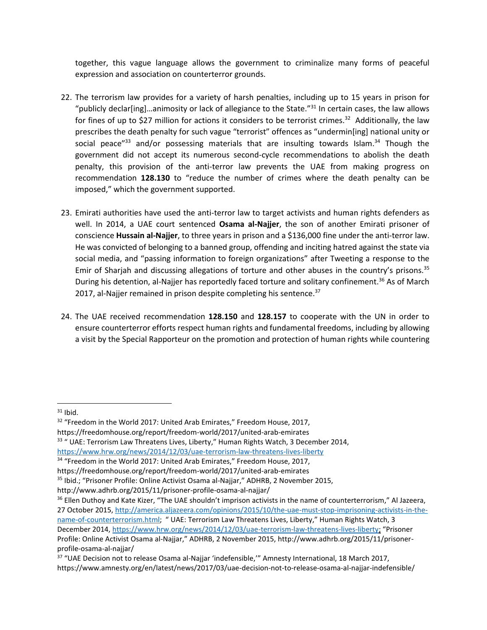together, this vague language allows the government to criminalize many forms of peaceful expression and association on counterterror grounds.

- 22. The terrorism law provides for a variety of harsh penalties, including up to 15 years in prison for "publicly declar[ing]...animosity or lack of allegiance to the State."<sup>31</sup> In certain cases, the law allows for fines of up to \$27 million for actions it considers to be terrorist crimes.<sup>32</sup> Additionally, the law prescribes the death penalty for such vague "terrorist" offences as "undermin[ing] national unity or social peace" $33$  and/or possessing materials that are insulting towards Islam. $34$  Though the government did not accept its numerous second-cycle recommendations to abolish the death penalty, this provision of the anti-terror law prevents the UAE from making progress on recommendation **128.130** to "reduce the number of crimes where the death penalty can be imposed," which the government supported.
- 23. Emirati authorities have used the anti-terror law to target activists and human rights defenders as well. In 2014, a UAE court sentenced **Osama al-Najjer**, the son of another Emirati prisoner of conscience **Hussain al-Najjer**, to three years in prison and a \$136,000 fine under the anti-terror law. He was convicted of belonging to a banned group, offending and inciting hatred against the state via social media, and "passing information to foreign organizations" after Tweeting a response to the Emir of Sharjah and discussing allegations of torture and other abuses in the country's prisons.<sup>35</sup> During his detention, al-Najjer has reportedly faced torture and solitary confinement.<sup>36</sup> As of March 2017, al-Najjer remained in prison despite completing his sentence.<sup>37</sup>
- 24. The UAE received recommendation **128.150** and **128.157** to cooperate with the UN in order to ensure counterterror efforts respect human rights and fundamental freedoms, including by allowing a visit by the Special Rapporteur on the promotion and protection of human rights while countering

 $31$  Ibid.

l

https://freedomhouse.org/report/freedom-world/2017/united-arab-emirates

```
<sup>33</sup> " UAE: Terrorism Law Threatens Lives, Liberty," Human Rights Watch, 3 December 2014,
https://www.hrw.org/news/2014/12/03/uae-terrorism-law-threatens-lives-liberty
```
<sup>34</sup> "Freedom in the World 2017: United Arab Emirates," Freedom House, 2017,

<sup>&</sup>lt;sup>32</sup> "Freedom in the World 2017: United Arab Emirates," Freedom House, 2017,

https://freedomhouse.org/report/freedom-world/2017/united-arab-emirates

<sup>35</sup> Ibid.; "Prisoner Profile: Online Activist Osama al-Najjar," ADHRB, 2 November 2015,

http://www.adhrb.org/2015/11/prisoner-profile-osama-al-najjar/

<sup>&</sup>lt;sup>36</sup> Ellen Duthoy and Kate Kizer, "The UAE shouldn't imprison activists in the name of counterterrorism," Al Jazeera, 27 October 2015, [http://america.aljazeera.com/opinions/2015/10/the-uae-must-stop-imprisoning-activists-in-the](http://america.aljazeera.com/opinions/2015/10/the-uae-must-stop-imprisoning-activists-in-the-name-of-counterterrorism.html)[name-of-counterterrorism.html](http://america.aljazeera.com/opinions/2015/10/the-uae-must-stop-imprisoning-activists-in-the-name-of-counterterrorism.html); " UAE: Terrorism Law Threatens Lives, Liberty," Human Rights Watch, 3 December 2014, [https://www.hrw.org/news/2014/12/03/uae-terrorism-law-threatens-lives-liberty;](https://www.hrw.org/news/2014/12/03/uae-terrorism-law-threatens-lives-liberty) "Prisoner Profile: Online Activist Osama al-Najjar," ADHRB, 2 November 2015, http://www.adhrb.org/2015/11/prisonerprofile-osama-al-najjar/

<sup>&</sup>lt;sup>37</sup> "UAE Decision not to release Osama al-Najjar 'indefensible,'" Amnesty International, 18 March 2017, https://www.amnesty.org/en/latest/news/2017/03/uae-decision-not-to-release-osama-al-najjar-indefensible/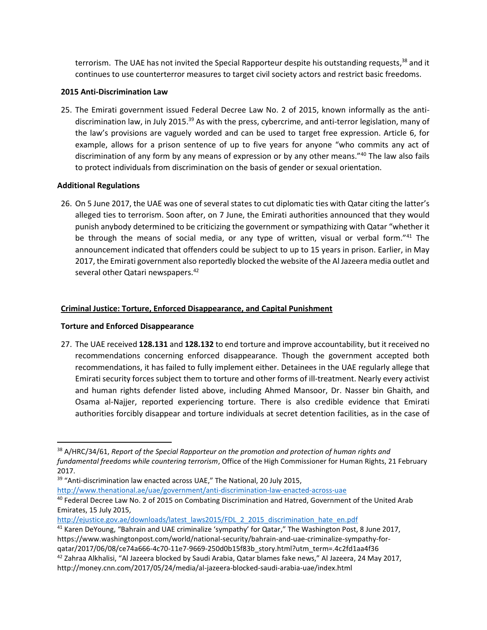terrorism. The UAE has not invited the Special Rapporteur despite his outstanding requests,<sup>38</sup> and it continues to use counterterror measures to target civil society actors and restrict basic freedoms.

## **2015 Anti-Discrimination Law**

25. The Emirati government issued Federal Decree Law No. 2 of 2015, known informally as the antidiscrimination law, in July 2015.<sup>39</sup> As with the press, cybercrime, and anti-terror legislation, many of the law's provisions are vaguely worded and can be used to target free expression. Article 6, for example, allows for a prison sentence of up to five years for anyone "who commits any act of discrimination of any form by any means of expression or by any other means."<sup>40</sup> The law also fails to protect individuals from discrimination on the basis of gender or sexual orientation.

## **Additional Regulations**

 $\overline{\phantom{a}}$ 

26. On 5 June 2017, the UAE was one of several states to cut diplomatic ties with Qatar citing the latter's alleged ties to terrorism. Soon after, on 7 June, the Emirati authorities announced that they would punish anybody determined to be criticizing the government or sympathizing with Qatar "whether it be through the means of social media, or any type of written, visual or verbal form."<sup>41</sup> The announcement indicated that offenders could be subject to up to 15 years in prison. Earlier, in May 2017, the Emirati government also reportedly blocked the website of the Al Jazeera media outlet and several other Qatari newspapers.<sup>42</sup>

## **Criminal Justice: Torture, Enforced Disappearance, and Capital Punishment**

# **Torture and Enforced Disappearance**

27. The UAE received **128.131** and **128.132** to end torture and improve accountability, but it received no recommendations concerning enforced disappearance. Though the government accepted both recommendations, it has failed to fully implement either. Detainees in the UAE regularly allege that Emirati security forces subject them to torture and other forms of ill-treatment. Nearly every activist and human rights defender listed above, including Ahmed Mansoor, Dr. Nasser bin Ghaith, and Osama al-Najjer, reported experiencing torture. There is also credible evidence that Emirati authorities forcibly disappear and torture individuals at secret detention facilities, as in the case of

<sup>39</sup> "Anti-discrimination law enacted across UAE," The National, 20 July 2015,

<http://www.thenational.ae/uae/government/anti-discrimination-law-enacted-across-uae> <sup>40</sup> Federal Decree Law No. 2 of 2015 on Combating Discrimination and Hatred, Government of the United Arab

Emirates, 15 July 2015, [http://ejustice.gov.ae/downloads/latest\\_laws2015/FDL\\_2\\_2015\\_discrimination\\_hate\\_en.pdf](http://ejustice.gov.ae/downloads/latest_laws2015/FDL_2_2015_discrimination_hate_en.pdf)

<sup>41</sup> Karen DeYoung, "Bahrain and UAE criminalize 'sympathy' for Qatar," The Washington Post, 8 June 2017, https://www.washingtonpost.com/world/national-security/bahrain-and-uae-criminalize-sympathy-forqatar/2017/06/08/ce74a666-4c70-11e7-9669-250d0b15f83b\_story.html?utm\_term=.4c2fd1aa4f36

<sup>38</sup> A/HRC/34/61, *Report of the Special Rapporteur on the promotion and protection of human rights and fundamental freedoms while countering terrorism*, Office of the High Commissioner for Human Rights, 21 February 2017.

<sup>42</sup> Zahraa Alkhalisi, "Al Jazeera blocked by Saudi Arabia, Qatar blames fake news," Al Jazeera, 24 May 2017, http://money.cnn.com/2017/05/24/media/al-jazeera-blocked-saudi-arabia-uae/index.html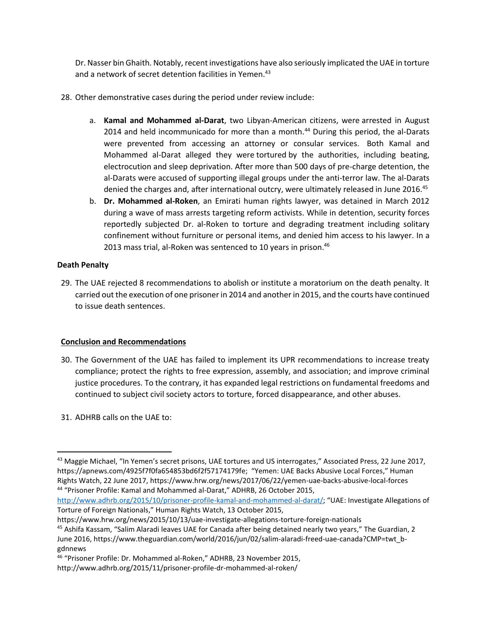Dr. Nasser bin Ghaith. Notably, recent investigations have also seriously implicated the UAE in torture and a network of secret detention facilities in Yemen.<sup>43</sup>

- 28. Other demonstrative cases during the period under review include:
	- a. **Kamal and Mohammed al-Darat**, two Libyan-American citizens, were arrested in August 2014 and held incommunicado for more than a month. $44$  During this period, the al-Darats were prevented from accessing an attorney or consular services. Both Kamal and Mohammed al-Darat alleged they were tortured by the authorities, including beating, electrocution and sleep deprivation. After more than 500 days of pre-charge detention, the al-Darats were accused of supporting illegal groups under the anti-terror law. The al-Darats denied the charges and, after international outcry, were ultimately released in June 2016.<sup>45</sup>
	- b. **Dr. Mohammed al-Roken**, an Emirati human rights lawyer, was detained in March 2012 during a wave of mass arrests targeting reform activists. While in detention, security forces reportedly subjected Dr. al-Roken to torture and degrading treatment including solitary confinement without furniture or personal items, and denied him access to his lawyer. In a 2013 mass trial, al-Roken was sentenced to 10 years in prison.<sup>46</sup>

## **Death Penalty**

 $\overline{\phantom{a}}$ 

29. The UAE rejected 8 recommendations to abolish or institute a moratorium on the death penalty. It carried out the execution of one prisoner in 2014 and another in 2015, and the courts have continued to issue death sentences.

# **Conclusion and Recommendations**

- 30. The Government of the UAE has failed to implement its UPR recommendations to increase treaty compliance; protect the rights to free expression, assembly, and association; and improve criminal justice procedures. To the contrary, it has expanded legal restrictions on fundamental freedoms and continued to subject civil society actors to torture, forced disappearance, and other abuses.
- 31. ADHRB calls on the UAE to:

<http://www.adhrb.org/2015/10/prisoner-profile-kamal-and-mohammed-al-darat/>; "UAE: Investigate Allegations of Torture of Foreign Nationals," Human Rights Watch, 13 October 2015,

<sup>&</sup>lt;sup>43</sup> Maggie Michael, "In Yemen's secret prisons, UAE tortures and US interrogates," Associated Press, 22 June 2017, https://apnews.com/4925f7f0fa654853bd6f2f57174179fe; "Yemen: UAE Backs Abusive Local Forces," Human Rights Watch, 22 June 2017, https://www.hrw.org/news/2017/06/22/yemen-uae-backs-abusive-local-forces 44 "Prisoner Profile: Kamal and Mohammed al-Darat," ADHRB, 26 October 2015,

https://www.hrw.org/news/2015/10/13/uae-investigate-allegations-torture-foreign-nationals <sup>45</sup> Ashifa Kassam, "Salim Alaradi leaves UAE for Canada after being detained nearly two years," The Guardian, 2 June 2016, https://www.theguardian.com/world/2016/jun/02/salim-alaradi-freed-uae-canada?CMP=twt\_bgdnnews

<sup>46</sup> "Prisoner Profile: Dr. Mohammed al-Roken," ADHRB, 23 November 2015,

http://www.adhrb.org/2015/11/prisoner-profile-dr-mohammed-al-roken/